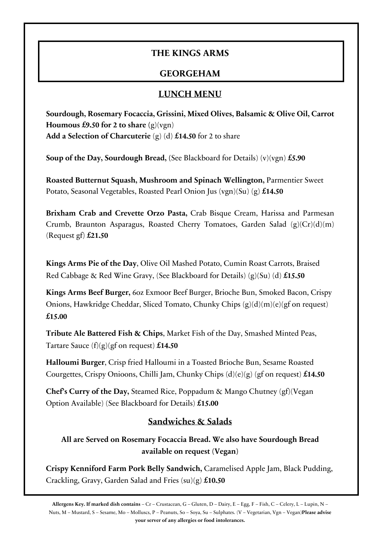### **THE KINGS ARMS**

# **GEORGEHAM**

#### **LUNCH MENU**

**Sourdough, Rosemary Focaccia, Grissini, Mixed Olives, Balsamic & Olive Oil, Carrot Houmous £9.50 for 2 to share**  $(g)(vgn)$ **Add a Selection of Charcuterie** (g) (d) **£14.50** for 2 to share

**Soup of the Day, Sourdough Bread, (**See Blackboard for Details) (v)(vgn) **£5.90**

**Roasted Butternut Squash, Mushroom and Spinach Wellington,** Parmentier Sweet Potato, Seasonal Vegetables, Roasted Pearl Onion Jus (vgn)(Su) (g) **£14.50**

**Brixham Crab and Crevette Orzo Pasta,** Crab Bisque Cream, Harissa and Parmesan Crumb, Braunton Asparagus, Roasted Cherry Tomatoes, Garden Salad (g)(Cr)(d)(m) (Request gf) **£21.50**

**Kings Arms Pie of the Day**, Olive Oil Mashed Potato, Cumin Roast Carrots, Braised Red Cabbage & Red Wine Gravy, (See Blackboard for Details) (g)(Su) (d) **£15.50**

**Kings Arms Beef Burger,** 6oz Exmoor Beef Burger, Brioche Bun, Smoked Bacon, Crispy Onions, Hawkridge Cheddar, Sliced Tomato, Chunky Chips (g)(d)(m)(e)(gf on request) **£15.00**

**Tribute Ale Battered Fish & Chips**, Market Fish of the Day, Smashed Minted Peas, Tartare Sauce (f)(g)(gf on request) **£14.50**

**Halloumi Burger**, Crisp fried Halloumi in a Toasted Brioche Bun, Sesame Roasted Courgettes, Crispy Onioons, Chilli Jam, Chunky Chips (d)(e)(g) (gf on request) **£14.50**

**Chef's Curry of the Day,** Steamed Rice, Poppadum & Mango Chutney (gf)(Vegan Option Available) (See Blackboard for Details) **£15.00**

### **Sandwiches & Salads**

**All are Served on Rosemary Focaccia Bread. We also have Sourdough Bread available on request (Vegan)**

**Crispy Kenniford Farm Pork Belly Sandwich,** Caramelised Apple Jam, Black Pudding, Crackling, Gravy, Garden Salad and Fries (su)(g) **£10.50**